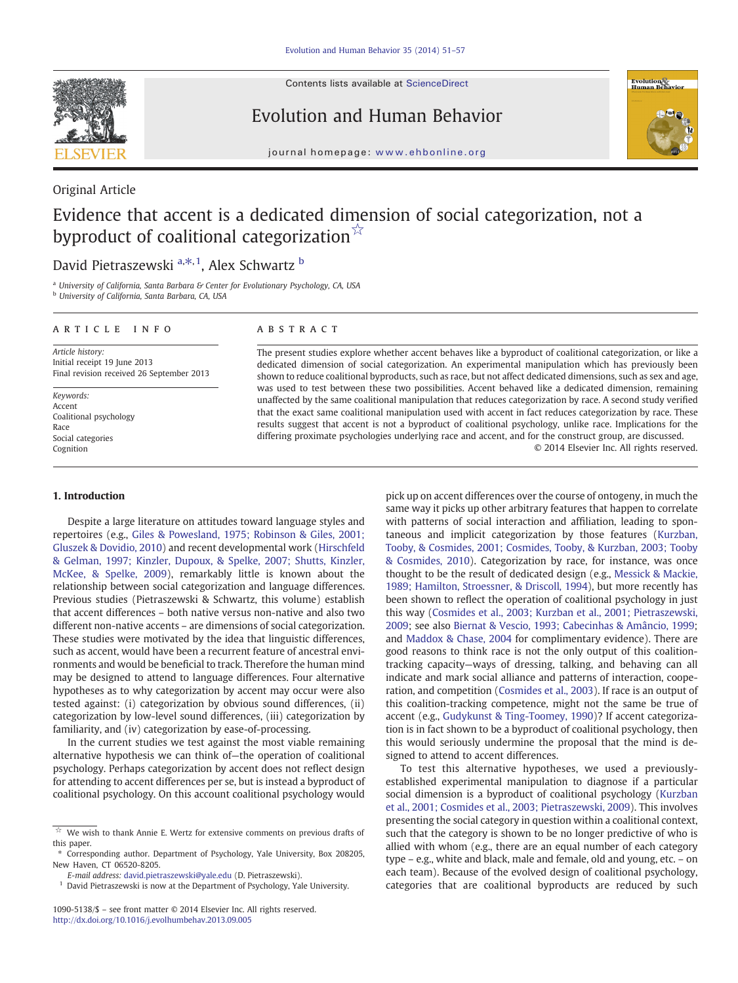

Contents lists available at ScienceDirect

Evolution and Human Behavior



journal homepage: www.ehbonline.org

# Original Article

# Evidence that accent is a dedicated dimension of social categorization, not a byproduct of coalitional categorization $\mathbb{X}$

# David Pietraszewski <sup>a, $\ast,1$ </sup>, Alex Schwartz <sup>b</sup>

<sup>a</sup> University of California, Santa Barbara & Center for Evolutionary Psychology, CA, USA

<sup>b</sup> University of California, Santa Barbara, CA, USA

## ARTICLE INFO ABSTRACT

Article history: Initial receipt 19 June 2013 Final revision received 26 September 2013

Keywords: Accent Coalitional psychology Race Social categories Cognition

The present studies explore whether accent behaves like a byproduct of coalitional categorization, or like a dedicated dimension of social categorization. An experimental manipulation which has previously been shown to reduce coalitional byproducts, such as race, but not affect dedicated dimensions, such as sex and age, was used to test between these two possibilities. Accent behaved like a dedicated dimension, remaining unaffected by the same coalitional manipulation that reduces categorization by race. A second study verified that the exact same coalitional manipulation used with accent in fact reduces categorization by race. These results suggest that accent is not a byproduct of coalitional psychology, unlike race. Implications for the differing proximate psychologies underlying race and accent, and for the construct group, are discussed. © 2014 Elsevier Inc. All rights reserved.

### 1. Introduction

Despite a large literature on attitudes toward language styles and repertoires (e.g., [Giles & Powesland, 1975; Robinson & Giles, 2001;](#page-5-0) [Gluszek & Dovidio, 2010](#page-5-0)) and recent developmental work [\(Hirschfeld](#page-5-0) [& Gelman, 1997; Kinzler, Dupoux, & Spelke, 2007; Shutts, Kinzler,](#page-5-0) [McKee, & Spelke, 2009](#page-5-0)), remarkably little is known about the relationship between social categorization and language differences. Previous studies (Pietraszewski & Schwartz, this volume) establish that accent differences – both native versus non-native and also two different non-native accents – are dimensions of social categorization. These studies were motivated by the idea that linguistic differences, such as accent, would have been a recurrent feature of ancestral environments and would be beneficial to track. Therefore the human mind may be designed to attend to language differences. Four alternative hypotheses as to why categorization by accent may occur were also tested against: (i) categorization by obvious sound differences, (ii) categorization by low-level sound differences, (iii) categorization by familiarity, and (iv) categorization by ease-of-processing.

In the current studies we test against the most viable remaining alternative hypothesis we can think of—the operation of coalitional psychology. Perhaps categorization by accent does not reflect design for attending to accent differences per se, but is instead a byproduct of coalitional psychology. On this account coalitional psychology would

pick up on accent differences over the course of ontogeny, in much the same way it picks up other arbitrary features that happen to correlate with patterns of social interaction and affiliation, leading to spontaneous and implicit categorization by those features [\(Kurzban,](#page-5-0) [Tooby, & Cosmides, 2001; Cosmides, Tooby, & Kurzban, 2003; Tooby](#page-5-0) [& Cosmides, 2010](#page-5-0)). Categorization by race, for instance, was once thought to be the result of dedicated design (e.g., [Messick & Mackie,](#page-5-0) [1989; Hamilton, Stroessner, & Driscoll, 1994\)](#page-5-0), but more recently has been shown to reflect the operation of coalitional psychology in just this way [\(Cosmides et al., 2003; Kurzban et al., 2001; Pietraszewski,](#page-5-0) [2009;](#page-5-0) see also [Biernat & Vescio, 1993; Cabecinhas & Amâncio, 1999;](#page-5-0) and [Maddox & Chase, 2004](#page-5-0) for complimentary evidence). There are good reasons to think race is not the only output of this coalitiontracking capacity—ways of dressing, talking, and behaving can all indicate and mark social alliance and patterns of interaction, cooperation, and competition [\(Cosmides et al., 2003\)](#page-5-0). If race is an output of this coalition-tracking competence, might not the same be true of accent (e.g., [Gudykunst & Ting-Toomey, 1990](#page-5-0))? If accent categorization is in fact shown to be a byproduct of coalitional psychology, then this would seriously undermine the proposal that the mind is designed to attend to accent differences.

To test this alternative hypotheses, we used a previouslyestablished experimental manipulation to diagnose if a particular social dimension is a byproduct of coalitional psychology [\(Kurzban](#page-5-0) [et al., 2001; Cosmides et al., 2003; Pietraszewski, 2009](#page-5-0)). This involves presenting the social category in question within a coalitional context, such that the category is shown to be no longer predictive of who is allied with whom (e.g., there are an equal number of each category type – e.g., white and black, male and female, old and young, etc. – on each team). Because of the evolved design of coalitional psychology, categories that are coalitional byproducts are reduced by such

 $\overrightarrow{x}$  We wish to thank Annie E. Wertz for extensive comments on previous drafts of this paper.

<sup>⁎</sup> Corresponding author. Department of Psychology, Yale University, Box 208205, New Haven, CT 06520-8205.

E-mail address: [david.pietraszewski@yale.edu](mailto:david.pietraszewski@yale.edu) (D. Pietraszewski).

<sup>&</sup>lt;sup>1</sup> David Pietraszewski is now at the Department of Psychology, Yale University.

<sup>1090-5138/\$</sup> – see front matter © 2014 Elsevier Inc. All rights reserved. <http://dx.doi.org/10.1016/j.evolhumbehav.2013.09.005>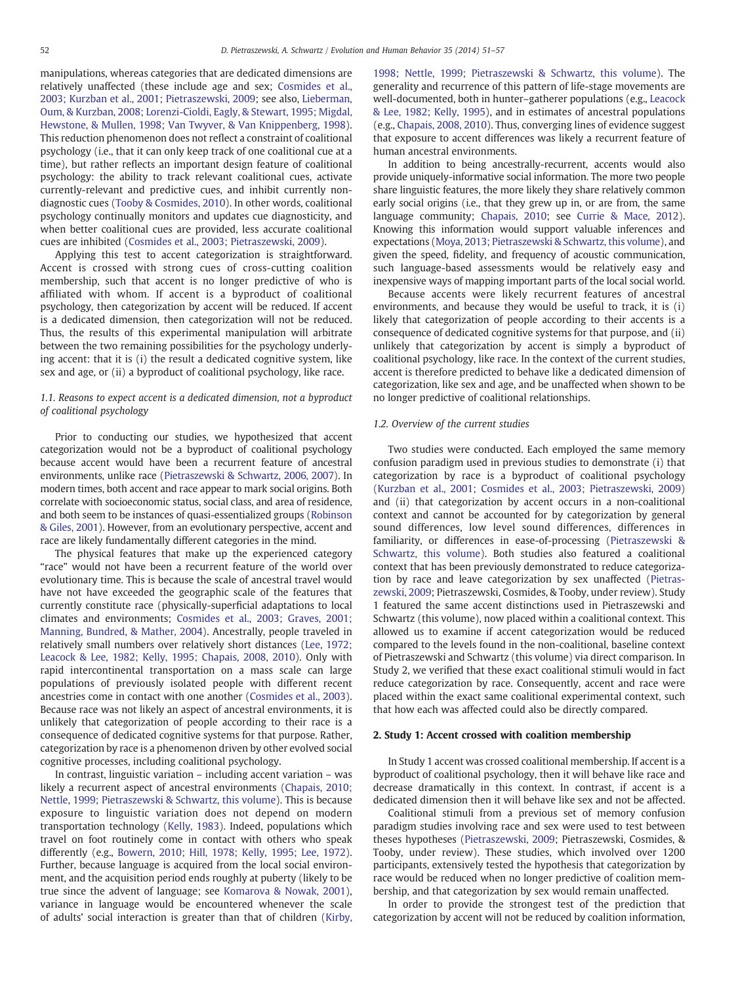manipulations, whereas categories that are dedicated dimensions are relatively unaffected (these include age and sex; [Cosmides et al.,](#page-5-0) [2003; Kurzban et al., 2001; Pietraszewski, 2009;](#page-5-0) see also, [Lieberman,](#page-5-0) [Oum, & Kurzban, 2008; Lorenzi-Cioldi, Eagly, & Stewart, 1995; Migdal,](#page-5-0) [Hewstone, & Mullen, 1998; Van Twyver, & Van Knippenberg, 1998](#page-5-0)). This reduction phenomenon does not reflect a constraint of coalitional psychology (i.e., that it can only keep track of one coalitional cue at a time), but rather reflects an important design feature of coalitional psychology: the ability to track relevant coalitional cues, activate currently-relevant and predictive cues, and inhibit currently nondiagnostic cues [\(Tooby & Cosmides, 2010](#page-6-0)). In other words, coalitional psychology continually monitors and updates cue diagnosticity, and when better coalitional cues are provided, less accurate coalitional cues are inhibited ([Cosmides et al., 2003; Pietraszewski, 2009\)](#page-5-0).

Applying this test to accent categorization is straightforward. Accent is crossed with strong cues of cross-cutting coalition membership, such that accent is no longer predictive of who is affiliated with whom. If accent is a byproduct of coalitional psychology, then categorization by accent will be reduced. If accent is a dedicated dimension, then categorization will not be reduced. Thus, the results of this experimental manipulation will arbitrate between the two remaining possibilities for the psychology underlying accent: that it is (i) the result a dedicated cognitive system, like sex and age, or (ii) a byproduct of coalitional psychology, like race.

#### 1.1. Reasons to expect accent is a dedicated dimension, not a byproduct of coalitional psychology

Prior to conducting our studies, we hypothesized that accent categorization would not be a byproduct of coalitional psychology because accent would have been a recurrent feature of ancestral environments, unlike race [\(Pietraszewski & Schwartz, 2006, 2007\)](#page-6-0). In modern times, both accent and race appear to mark social origins. Both correlate with socioeconomic status, social class, and area of residence, and both seem to be instances of quasi-essentialized groups [\(Robinson](#page-6-0) [& Giles, 2001](#page-6-0)). However, from an evolutionary perspective, accent and race are likely fundamentally different categories in the mind.

The physical features that make up the experienced category "race" would not have been a recurrent feature of the world over evolutionary time. This is because the scale of ancestral travel would have not have exceeded the geographic scale of the features that currently constitute race (physically-superficial adaptations to local climates and environments; [Cosmides et al., 2003; Graves, 2001;](#page-5-0) [Manning, Bundred, & Mather, 2004\)](#page-5-0). Ancestrally, people traveled in relatively small numbers over relatively short distances ([Lee, 1972;](#page-5-0) [Leacock & Lee, 1982; Kelly, 1995; Chapais, 2008, 2010\)](#page-5-0). Only with rapid intercontinental transportation on a mass scale can large populations of previously isolated people with different recent ancestries come in contact with one another [\(Cosmides et al., 2003](#page-5-0)). Because race was not likely an aspect of ancestral environments, it is unlikely that categorization of people according to their race is a consequence of dedicated cognitive systems for that purpose. Rather, categorization by race is a phenomenon driven by other evolved social cognitive processes, including coalitional psychology.

In contrast, linguistic variation – including accent variation – was likely a recurrent aspect of ancestral environments [\(Chapais, 2010;](#page-5-0) [Nettle, 1999; Pietraszewski & Schwartz, this volume\)](#page-5-0). This is because exposure to linguistic variation does not depend on modern transportation technology ([Kelly, 1983](#page-5-0)). Indeed, populations which travel on foot routinely come in contact with others who speak differently (e.g., [Bowern, 2010; Hill, 1978; Kelly, 1995; Lee, 1972](#page-5-0)). Further, because language is acquired from the local social environment, and the acquisition period ends roughly at puberty (likely to be true since the advent of language; see [Komarova & Nowak, 2001](#page-5-0)), variance in language would be encountered whenever the scale of adults' social interaction is greater than that of children [\(Kirby,](#page-5-0) [1998; Nettle, 1999; Pietraszewski & Schwartz, this volume](#page-5-0)). The generality and recurrence of this pattern of life-stage movements are well-documented, both in hunter–gatherer populations (e.g., [Leacock](#page-5-0) [& Lee, 1982; Kelly, 1995\)](#page-5-0), and in estimates of ancestral populations (e.g., [Chapais, 2008, 2010\)](#page-5-0). Thus, converging lines of evidence suggest that exposure to accent differences was likely a recurrent feature of human ancestral environments.

In addition to being ancestrally-recurrent, accents would also provide uniquely-informative social information. The more two people share linguistic features, the more likely they share relatively common early social origins (i.e., that they grew up in, or are from, the same language community; [Chapais, 2010;](#page-5-0) see [Currie & Mace, 2012](#page-5-0)). Knowing this information would support valuable inferences and expectations ([Moya, 2013; Pietraszewski & Schwartz, this volume](#page-6-0)), and given the speed, fidelity, and frequency of acoustic communication, such language-based assessments would be relatively easy and inexpensive ways of mapping important parts of the local social world.

Because accents were likely recurrent features of ancestral environments, and because they would be useful to track, it is (i) likely that categorization of people according to their accents is a consequence of dedicated cognitive systems for that purpose, and (ii) unlikely that categorization by accent is simply a byproduct of coalitional psychology, like race. In the context of the current studies, accent is therefore predicted to behave like a dedicated dimension of categorization, like sex and age, and be unaffected when shown to be no longer predictive of coalitional relationships.

#### 1.2. Overview of the current studies

Two studies were conducted. Each employed the same memory confusion paradigm used in previous studies to demonstrate (i) that categorization by race is a byproduct of coalitional psychology ([Kurzban et al., 2001; Cosmides et al., 2003; Pietraszewski, 2009\)](#page-5-0) and (ii) that categorization by accent occurs in a non-coalitional context and cannot be accounted for by categorization by general sound differences, low level sound differences, differences in familiarity, or differences in ease-of-processing [\(Pietraszewski &](#page-6-0) [Schwartz, this volume\)](#page-6-0). Both studies also featured a coalitional context that has been previously demonstrated to reduce categorization by race and leave categorization by sex unaffected ([Pietras](#page-6-0)[zewski, 2009](#page-6-0); Pietraszewski, Cosmides, & Tooby, under review). Study 1 featured the same accent distinctions used in Pietraszewski and Schwartz (this volume), now placed within a coalitional context. This allowed us to examine if accent categorization would be reduced compared to the levels found in the non-coalitional, baseline context of Pietraszewski and Schwartz (this volume) via direct comparison. In Study 2, we verified that these exact coalitional stimuli would in fact reduce categorization by race. Consequently, accent and race were placed within the exact same coalitional experimental context, such that how each was affected could also be directly compared.

#### 2. Study 1: Accent crossed with coalition membership

In Study 1 accent was crossed coalitional membership. If accent is a byproduct of coalitional psychology, then it will behave like race and decrease dramatically in this context. In contrast, if accent is a dedicated dimension then it will behave like sex and not be affected.

Coalitional stimuli from a previous set of memory confusion paradigm studies involving race and sex were used to test between theses hypotheses [\(Pietraszewski, 2009;](#page-6-0) Pietraszewski, Cosmides, & Tooby, under review). These studies, which involved over 1200 participants, extensively tested the hypothesis that categorization by race would be reduced when no longer predictive of coalition membership, and that categorization by sex would remain unaffected.

In order to provide the strongest test of the prediction that categorization by accent will not be reduced by coalition information,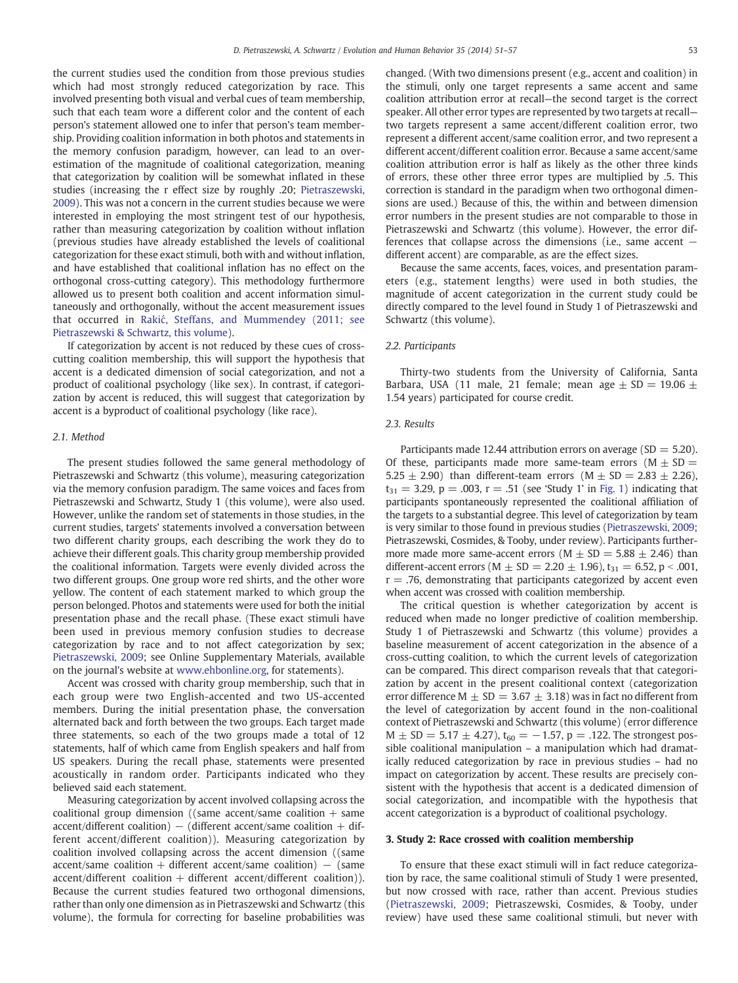the current studies used the condition from those previous studies which had most strongly reduced categorization by race. This involved presenting both visual and verbal cues of team membership, such that each team wore a different color and the content of each person's statement allowed one to infer that person's team membership. Providing coalition information in both photos and statements in the memory confusion paradigm, however, can lead to an overestimation of the magnitude of coalitional categorization, meaning that categorization by coalition will be somewhat inflated in these studies (increasing the r effect size by roughly .20; [Pietraszewski,](#page-6-0) [2009\)](#page-6-0). This was not a concern in the current studies because we were interested in employing the most stringent test of our hypothesis, rather than measuring categorization by coalition without inflation (previous studies have already established the levels of coalitional categorization for these exact stimuli, both with and without inflation, and have established that coalitional inflation has no effect on the orthogonal cross-cutting category). This methodology furthermore allowed us to present both coalition and accent information simultaneously and orthogonally, without the accent measurement issues that occurred in Rakić[, Steffans, and Mummendey \(2011; see](#page-6-0) [Pietraszewski & Schwartz, this volume](#page-6-0)).

If categorization by accent is not reduced by these cues of crosscutting coalition membership, this will support the hypothesis that accent is a dedicated dimension of social categorization, and not a product of coalitional psychology (like sex). In contrast, if categorization by accent is reduced, this will suggest that categorization by accent is a byproduct of coalitional psychology (like race).

#### 2.1. Method

The present studies followed the same general methodology of Pietraszewski and Schwartz (this volume), measuring categorization via the memory confusion paradigm. The same voices and faces from Pietraszewski and Schwartz, Study 1 (this volume), were also used. However, unlike the random set of statements in those studies, in the current studies, targets' statements involved a conversation between two different charity groups, each describing the work they do to achieve their different goals. This charity group membership provided the coalitional information. Targets were evenly divided across the two different groups. One group wore red shirts, and the other wore yellow. The content of each statement marked to which group the person belonged. Photos and statements were used for both the initial presentation phase and the recall phase. (These exact stimuli have been used in previous memory confusion studies to decrease categorization by race and to not affect categorization by sex; [Pietraszewski, 2009](#page-6-0); see Online Supplementary Materials, available on the journal's website at [www.ehbonline.org](http://www.ehbonline.org), for statements).

Accent was crossed with charity group membership, such that in each group were two English-accented and two US-accented members. During the initial presentation phase, the conversation alternated back and forth between the two groups. Each target made three statements, so each of the two groups made a total of 12 statements, half of which came from English speakers and half from US speakers. During the recall phase, statements were presented acoustically in random order. Participants indicated who they believed said each statement.

Measuring categorization by accent involved collapsing across the coalitional group dimension ((same accent/same coalition  $+$  same  $\arccent/different coalition)$  – (different  $\arccent/same coalition + dif$ ferent accent/different coalition)). Measuring categorization by coalition involved collapsing across the accent dimension ((same  $accent/same$  coalition + different accent/same coalition) – (same  $\arccen t/d$  ifferent coalition + different  $\arccen t/d$  ifferent coalition)). Because the current studies featured two orthogonal dimensions, rather than only one dimension as in Pietraszewski and Schwartz (this volume), the formula for correcting for baseline probabilities was changed. (With two dimensions present (e.g., accent and coalition) in the stimuli, only one target represents a same accent and same coalition attribution error at recall—the second target is the correct speaker. All other error types are represented by two targets at recall two targets represent a same accent/different coalition error, two represent a different accent/same coalition error, and two represent a different accent/different coalition error. Because a same accent/same coalition attribution error is half as likely as the other three kinds of errors, these other three error types are multiplied by .5. This correction is standard in the paradigm when two orthogonal dimensions are used.) Because of this, the within and between dimension error numbers in the present studies are not comparable to those in Pietraszewski and Schwartz (this volume). However, the error differences that collapse across the dimensions (i.e., same accent  $$ different accent) are comparable, as are the effect sizes.

Because the same accents, faces, voices, and presentation parameters (e.g., statement lengths) were used in both studies, the magnitude of accent categorization in the current study could be directly compared to the level found in Study 1 of Pietraszewski and Schwartz (this volume).

#### 2.2. Participants

Thirty-two students from the University of California, Santa Barbara, USA (11 male, 21 female; mean age  $\pm$  SD = 19.06  $\pm$ 1.54 years) participated for course credit.

#### 2.3. Results

Participants made 12.44 attribution errors on average (SD  $=$  5.20). Of these, participants made more same-team errors ( $M \pm SD =$ 5.25  $\pm$  2.90) than different-team errors (M  $\pm$  SD = 2.83  $\pm$  2.26),  $t_{31} = 3.29$ , p = .003, r = .51 (see 'Study 1' in [Fig. 1](#page-3-0)) indicating that participants spontaneously represented the coalitional affiliation of the targets to a substantial degree. This level of categorization by team is very similar to those found in previous studies ([Pietraszewski, 2009;](#page-6-0) Pietraszewski, Cosmides, & Tooby, under review). Participants furthermore made more same-accent errors ( $M \pm SD = 5.88 \pm 2.46$ ) than different-accent errors (M  $\pm$  SD = 2.20  $\pm$  1.96), t<sub>31</sub> = 6.52, p < .001,  $r = 0.76$ , demonstrating that participants categorized by accent even when accent was crossed with coalition membership.

The critical question is whether categorization by accent is reduced when made no longer predictive of coalition membership. Study 1 of Pietraszewski and Schwartz (this volume) provides a baseline measurement of accent categorization in the absence of a cross-cutting coalition, to which the current levels of categorization can be compared. This direct comparison reveals that that categorization by accent in the present coalitional context (categorization error difference M  $\pm$  SD = 3.67  $\pm$  3.18) was in fact no different from the level of categorization by accent found in the non-coalitional context of Pietraszewski and Schwartz (this volume) (error difference  $M \pm SD = 5.17 \pm 4.27$ ,  $t_{60} = -1.57$ ,  $p = .122$ . The strongest possible coalitional manipulation – a manipulation which had dramatically reduced categorization by race in previous studies – had no impact on categorization by accent. These results are precisely consistent with the hypothesis that accent is a dedicated dimension of social categorization, and incompatible with the hypothesis that accent categorization is a byproduct of coalitional psychology.

#### 3. Study 2: Race crossed with coalition membership

To ensure that these exact stimuli will in fact reduce categorization by race, the same coalitional stimuli of Study 1 were presented, but now crossed with race, rather than accent. Previous studies [\(Pietraszewski, 2009;](#page-6-0) Pietraszewski, Cosmides, & Tooby, under review) have used these same coalitional stimuli, but never with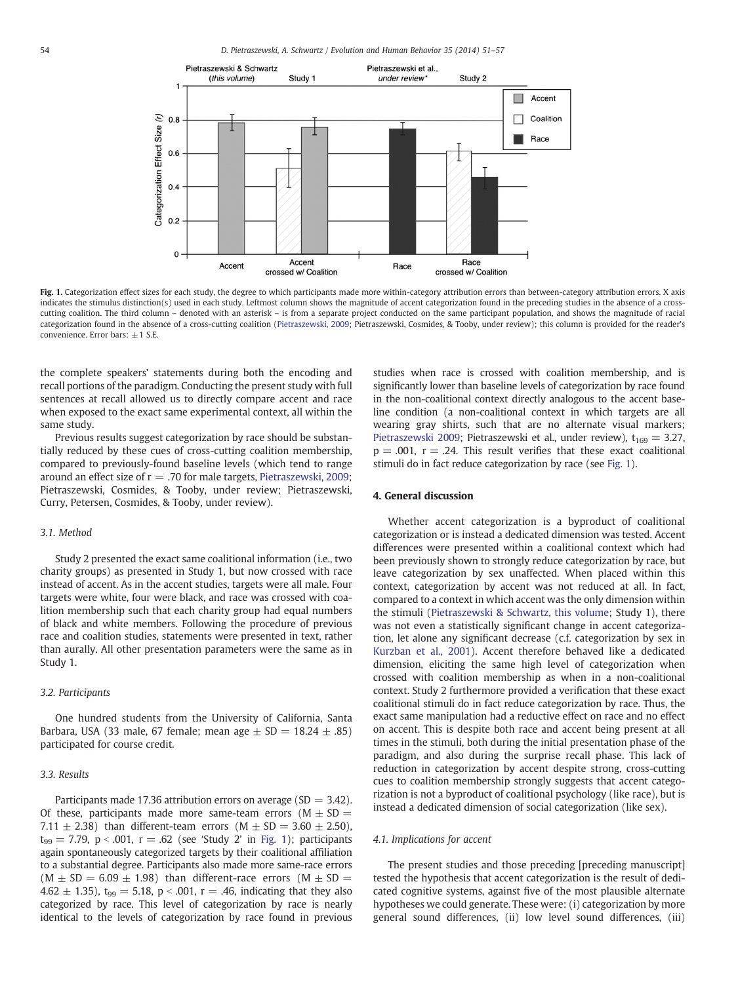<span id="page-3-0"></span>

Fig. 1. Categorization effect sizes for each study, the degree to which participants made more within-category attribution errors than between-category attribution errors. X axis indicates the stimulus distinction(s) used in each study. Leftmost column shows the magnitude of accent categorization found in the preceding studies in the absence of a crosscutting coalition. The third column – denoted with an asterisk – is from a separate project conducted on the same participant population, and shows the magnitude of racial categorization found in the absence of a cross-cutting coalition [\(Pietraszewski, 2009](#page-6-0); Pietraszewski, Cosmides, & Tooby, under review); this column is provided for the reader's convenience. Error bars:  $+1$  S.E.

the complete speakers' statements during both the encoding and recall portions of the paradigm. Conducting the present study with full sentences at recall allowed us to directly compare accent and race when exposed to the exact same experimental context, all within the same study.

Previous results suggest categorization by race should be substantially reduced by these cues of cross-cutting coalition membership, compared to previously-found baseline levels (which tend to range around an effect size of  $r = .70$  for male targets, [Pietraszewski, 2009;](#page-6-0) Pietraszewski, Cosmides, & Tooby, under review; Pietraszewski, Curry, Petersen, Cosmides, & Tooby, under review).

#### 3.1. Method

Study 2 presented the exact same coalitional information (i.e., two charity groups) as presented in Study 1, but now crossed with race instead of accent. As in the accent studies, targets were all male. Four targets were white, four were black, and race was crossed with coalition membership such that each charity group had equal numbers of black and white members. Following the procedure of previous race and coalition studies, statements were presented in text, rather than aurally. All other presentation parameters were the same as in Study 1.

#### 3.2. Participants

One hundred students from the University of California, Santa Barbara, USA (33 male, 67 female; mean age  $\pm$  SD = 18.24  $\pm$  .85) participated for course credit.

#### 3.3. Results

Participants made 17.36 attribution errors on average ( $SD = 3.42$ ). Of these, participants made more same-team errors ( $M \pm SD =$ 7.11  $\pm$  2.38) than different-team errors (M  $\pm$  SD = 3.60  $\pm$  2.50),  $t_{99} = 7.79$ , p < .001, r = .62 (see 'Study 2' in Fig. 1); participants again spontaneously categorized targets by their coalitional affiliation to a substantial degree. Participants also made more same-race errors  $(M \pm SD = 6.09 \pm 1.98)$  than different-race errors  $(M \pm SD = 1.98)$ 4.62  $\pm$  1.35), t<sub>99</sub> = 5.18, p < .001, r = .46, indicating that they also categorized by race. This level of categorization by race is nearly identical to the levels of categorization by race found in previous studies when race is crossed with coalition membership, and is significantly lower than baseline levels of categorization by race found in the non-coalitional context directly analogous to the accent baseline condition (a non-coalitional context in which targets are all wearing gray shirts, such that are no alternate visual markers; [Pietraszewski 2009](#page-6-0); Pietraszewski et al., under review),  $t_{169} = 3.27$ ,  $p = .001$ ,  $r = .24$ . This result verifies that these exact coalitional stimuli do in fact reduce categorization by race (see Fig. 1).

#### 4. General discussion

Whether accent categorization is a byproduct of coalitional categorization or is instead a dedicated dimension was tested. Accent differences were presented within a coalitional context which had been previously shown to strongly reduce categorization by race, but leave categorization by sex unaffected. When placed within this context, categorization by accent was not reduced at all. In fact, compared to a context in which accent was the only dimension within the stimuli [\(Pietraszewski & Schwartz, this volume](#page-6-0); Study 1), there was not even a statistically significant change in accent categorization, let alone any significant decrease (c.f. categorization by sex in [Kurzban et al., 2001\)](#page-5-0). Accent therefore behaved like a dedicated dimension, eliciting the same high level of categorization when crossed with coalition membership as when in a non-coalitional context. Study 2 furthermore provided a verification that these exact coalitional stimuli do in fact reduce categorization by race. Thus, the exact same manipulation had a reductive effect on race and no effect on accent. This is despite both race and accent being present at all times in the stimuli, both during the initial presentation phase of the paradigm, and also during the surprise recall phase. This lack of reduction in categorization by accent despite strong, cross-cutting cues to coalition membership strongly suggests that accent categorization is not a byproduct of coalitional psychology (like race), but is instead a dedicated dimension of social categorization (like sex).

#### 4.1. Implications for accent

The present studies and those preceding [preceding manuscript] tested the hypothesis that accent categorization is the result of dedicated cognitive systems, against five of the most plausible alternate hypotheses we could generate. These were: (i) categorization by more general sound differences, (ii) low level sound differences, (iii)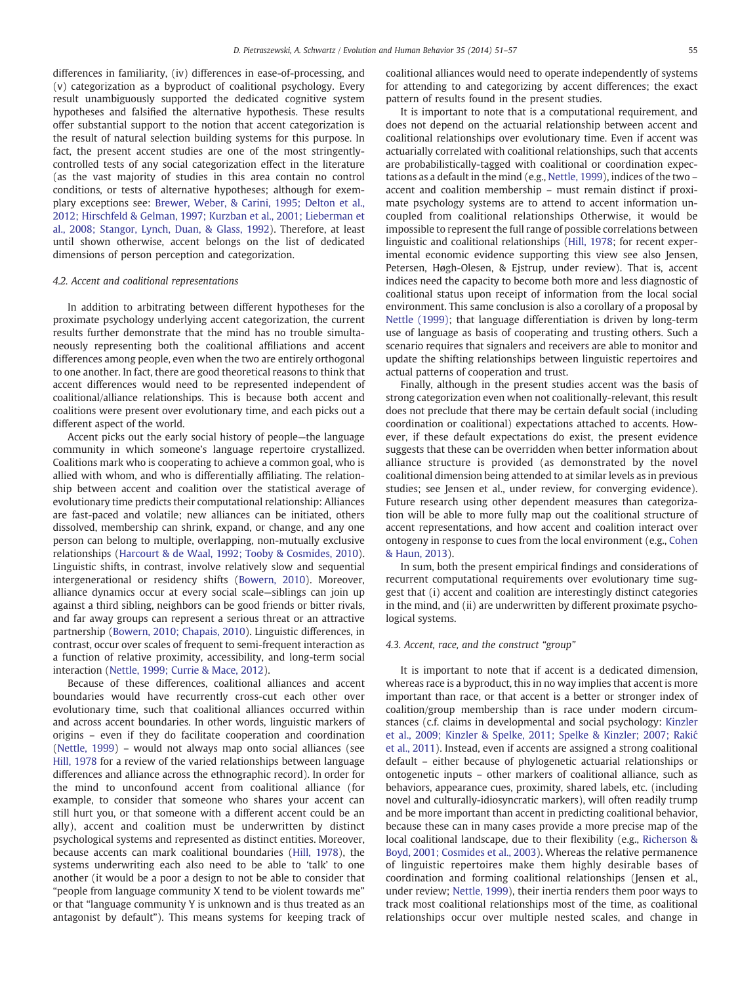differences in familiarity, (iv) differences in ease-of-processing, and (v) categorization as a byproduct of coalitional psychology. Every result unambiguously supported the dedicated cognitive system hypotheses and falsified the alternative hypothesis. These results offer substantial support to the notion that accent categorization is the result of natural selection building systems for this purpose. In fact, the present accent studies are one of the most stringentlycontrolled tests of any social categorization effect in the literature (as the vast majority of studies in this area contain no control conditions, or tests of alternative hypotheses; although for exemplary exceptions see: [Brewer, Weber, & Carini, 1995; Delton et al.,](#page-5-0) [2012; Hirschfeld & Gelman, 1997; Kurzban et al., 2001; Lieberman et](#page-5-0) [al., 2008; Stangor, Lynch, Duan, & Glass, 1992\)](#page-5-0). Therefore, at least until shown otherwise, accent belongs on the list of dedicated dimensions of person perception and categorization.

#### 4.2. Accent and coalitional representations

In addition to arbitrating between different hypotheses for the proximate psychology underlying accent categorization, the current results further demonstrate that the mind has no trouble simultaneously representing both the coalitional affiliations and accent differences among people, even when the two are entirely orthogonal to one another. In fact, there are good theoretical reasons to think that accent differences would need to be represented independent of coalitional/alliance relationships. This is because both accent and coalitions were present over evolutionary time, and each picks out a different aspect of the world.

Accent picks out the early social history of people—the language community in which someone's language repertoire crystallized. Coalitions mark who is cooperating to achieve a common goal, who is allied with whom, and who is differentially affiliating. The relationship between accent and coalition over the statistical average of evolutionary time predicts their computational relationship: Alliances are fast-paced and volatile; new alliances can be initiated, others dissolved, membership can shrink, expand, or change, and any one person can belong to multiple, overlapping, non-mutually exclusive relationships ([Harcourt & de Waal, 1992; Tooby & Cosmides, 2010](#page-5-0)). Linguistic shifts, in contrast, involve relatively slow and sequential intergenerational or residency shifts [\(Bowern, 2010\)](#page-5-0). Moreover, alliance dynamics occur at every social scale—siblings can join up against a third sibling, neighbors can be good friends or bitter rivals, and far away groups can represent a serious threat or an attractive partnership ([Bowern, 2010; Chapais, 2010](#page-5-0)). Linguistic differences, in contrast, occur over scales of frequent to semi-frequent interaction as a function of relative proximity, accessibility, and long-term social interaction [\(Nettle, 1999; Currie & Mace, 2012](#page-6-0)).

Because of these differences, coalitional alliances and accent boundaries would have recurrently cross-cut each other over evolutionary time, such that coalitional alliances occurred within and across accent boundaries. In other words, linguistic markers of origins – even if they do facilitate cooperation and coordination [\(Nettle, 1999](#page-6-0)) – would not always map onto social alliances (see [Hill, 1978](#page-5-0) for a review of the varied relationships between language differences and alliance across the ethnographic record). In order for the mind to unconfound accent from coalitional alliance (for example, to consider that someone who shares your accent can still hurt you, or that someone with a different accent could be an ally), accent and coalition must be underwritten by distinct psychological systems and represented as distinct entities. Moreover, because accents can mark coalitional boundaries ([Hill, 1978](#page-5-0)), the systems underwriting each also need to be able to 'talk' to one another (it would be a poor a design to not be able to consider that "people from language community X tend to be violent towards me" or that "language community Y is unknown and is thus treated as an antagonist by default"). This means systems for keeping track of coalitional alliances would need to operate independently of systems for attending to and categorizing by accent differences; the exact pattern of results found in the present studies.

It is important to note that is a computational requirement, and does not depend on the actuarial relationship between accent and coalitional relationships over evolutionary time. Even if accent was actuarially correlated with coalitional relationships, such that accents are probabilistically-tagged with coalitional or coordination expectations as a default in the mind (e.g., [Nettle, 1999\)](#page-6-0), indices of the two – accent and coalition membership – must remain distinct if proximate psychology systems are to attend to accent information uncoupled from coalitional relationships Otherwise, it would be impossible to represent the full range of possible correlations between linguistic and coalitional relationships [\(Hill, 1978](#page-5-0); for recent experimental economic evidence supporting this view see also Jensen, Petersen, Høgh-Olesen, & Ejstrup, under review). That is, accent indices need the capacity to become both more and less diagnostic of coalitional status upon receipt of information from the local social environment. This same conclusion is also a corollary of a proposal by [Nettle \(1999\)](#page-6-0); that language differentiation is driven by long-term use of language as basis of cooperating and trusting others. Such a scenario requires that signalers and receivers are able to monitor and update the shifting relationships between linguistic repertoires and actual patterns of cooperation and trust.

Finally, although in the present studies accent was the basis of strong categorization even when not coalitionally-relevant, this result does not preclude that there may be certain default social (including coordination or coalitional) expectations attached to accents. However, if these default expectations do exist, the present evidence suggests that these can be overridden when better information about alliance structure is provided (as demonstrated by the novel coalitional dimension being attended to at similar levels as in previous studies; see Jensen et al., under review, for converging evidence). Future research using other dependent measures than categorization will be able to more fully map out the coalitional structure of accent representations, and how accent and coalition interact over ontogeny in response to cues from the local environment (e.g., [Cohen](#page-5-0) [& Haun, 2013](#page-5-0)).

In sum, both the present empirical findings and considerations of recurrent computational requirements over evolutionary time suggest that (i) accent and coalition are interestingly distinct categories in the mind, and (ii) are underwritten by different proximate psychological systems.

#### 4.3. Accent, race, and the construct "group"

It is important to note that if accent is a dedicated dimension, whereas race is a byproduct, this in no way implies that accent is more important than race, or that accent is a better or stronger index of coalition/group membership than is race under modern circumstances (c.f. claims in developmental and social psychology: [Kinzler](#page-5-0) [et al., 2009; Kinzler & Spelke, 2011; Spelke & Kinzler; 2007; Raki](#page-5-0)ć [et al., 2011](#page-5-0)). Instead, even if accents are assigned a strong coalitional default – either because of phylogenetic actuarial relationships or ontogenetic inputs – other markers of coalitional alliance, such as behaviors, appearance cues, proximity, shared labels, etc. (including novel and culturally-idiosyncratic markers), will often readily trump and be more important than accent in predicting coalitional behavior, because these can in many cases provide a more precise map of the local coalitional landscape, due to their flexibility (e.g., [Richerson &](#page-6-0) [Boyd, 2001; Cosmides et al., 2003\)](#page-6-0). Whereas the relative permanence of linguistic repertoires make them highly desirable bases of coordination and forming coalitional relationships (Jensen et al., under review; [Nettle, 1999\)](#page-6-0), their inertia renders them poor ways to track most coalitional relationships most of the time, as coalitional relationships occur over multiple nested scales, and change in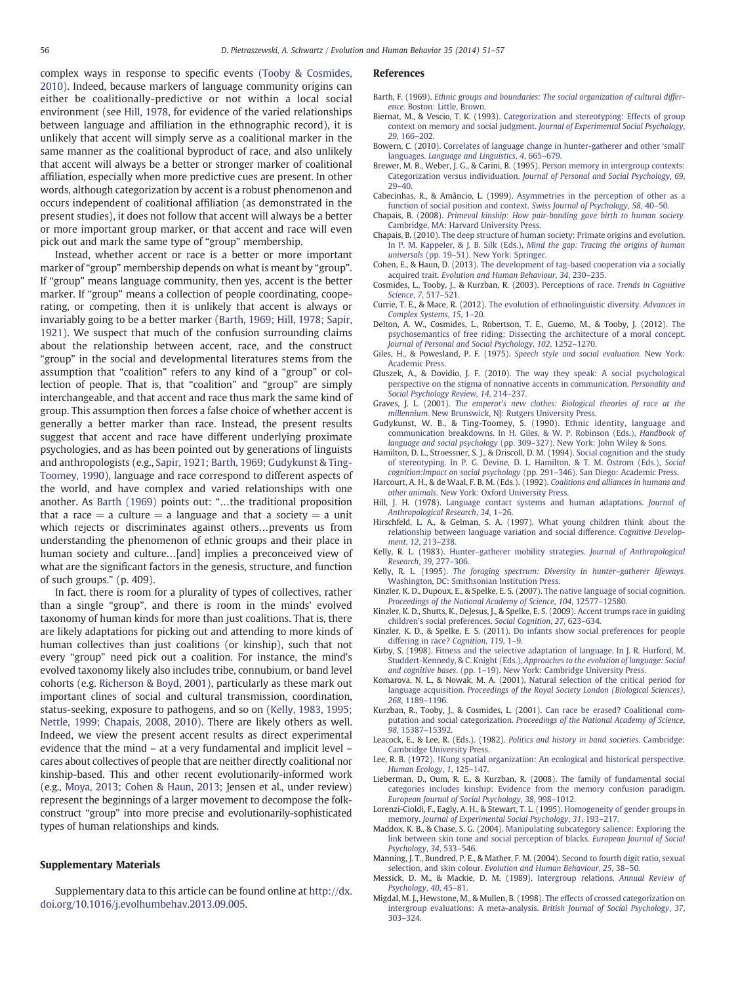<span id="page-5-0"></span>complex ways in response to specific events [\(Tooby & Cosmides,](#page-6-0) [2010\)](#page-6-0). Indeed, because markers of language community origins can either be coalitionally-predictive or not within a local social environment (see Hill, 1978, for evidence of the varied relationships between language and affiliation in the ethnographic record), it is unlikely that accent will simply serve as a coalitional marker in the same manner as the coalitional byproduct of race, and also unlikely that accent will always be a better or stronger marker of coalitional affiliation, especially when more predictive cues are present. In other words, although categorization by accent is a robust phenomenon and occurs independent of coalitional affiliation (as demonstrated in the present studies), it does not follow that accent will always be a better or more important group marker, or that accent and race will even pick out and mark the same type of "group" membership.

Instead, whether accent or race is a better or more important marker of "group" membership depends on what is meant by "group". If "group" means language community, then yes, accent is the better marker. If "group" means a collection of people coordinating, cooperating, or competing, then it is unlikely that accent is always or invariably going to be a better marker (Barth, 1969; Hill, 1978; Sapir, 1921). We suspect that much of the confusion surrounding claims about the relationship between accent, race, and the construct "group" in the social and developmental literatures stems from the assumption that "coalition" refers to any kind of a "group" or collection of people. That is, that "coalition" and "group" are simply interchangeable, and that accent and race thus mark the same kind of group. This assumption then forces a false choice of whether accent is generally a better marker than race. Instead, the present results suggest that accent and race have different underlying proximate psychologies, and as has been pointed out by generations of linguists and anthropologists (e.g., [Sapir, 1921; Barth, 1969; Gudykunst & Ting-](#page-6-0)[Toomey, 1990\)](#page-6-0), language and race correspond to different aspects of the world, and have complex and varied relationships with one another. As Barth (1969) points out: "…the traditional proposition that a race  $=$  a culture  $=$  a language and that a society  $=$  a unit which rejects or discriminates against others…prevents us from understanding the phenomenon of ethnic groups and their place in human society and culture...[and] implies a preconceived view of what are the significant factors in the genesis, structure, and function of such groups." (p. 409).

In fact, there is room for a plurality of types of collectives, rather than a single "group", and there is room in the minds' evolved taxonomy of human kinds for more than just coalitions. That is, there are likely adaptations for picking out and attending to more kinds of human collectives than just coalitions (or kinship), such that not every "group" need pick out a coalition. For instance, the mind's evolved taxonomy likely also includes tribe, connubium, or band level cohorts (e.g. [Richerson & Boyd, 2001\)](#page-6-0), particularly as these mark out important clines of social and cultural transmission, coordination, status-seeking, exposure to pathogens, and so on (Kelly, 1983, 1995; Nettle, 1999; Chapais, 2008, 2010). There are likely others as well. Indeed, we view the present accent results as direct experimental evidence that the mind – at a very fundamental and implicit level – cares about collectives of people that are neither directly coalitional nor kinship-based. This and other recent evolutionarily-informed work (e.g., [Moya, 2013; Cohen & Haun, 2013;](#page-6-0) Jensen et al., under review) represent the beginnings of a larger movement to decompose the folkconstruct "group" into more precise and evolutionarily-sophisticated types of human relationships and kinds.

#### Supplementary Materials

Supplementary data to this article can be found online at [http://dx.](http://dx.doi.org/10.1016/j.evolhumbehav.2013.09.005) [doi.org/10.1016/j.evolhumbehav.2013.09.005](http://dx.doi.org/10.1016/j.evolhumbehav.2013.09.005).

#### References

- Barth, F. (1969). [Ethnic groups and boundaries: The social organization of cultural differ](http://refhub.elsevier.com/S1090-5138(13)00107-4/rf0005)ence. [Boston: Little, Brown.](http://refhub.elsevier.com/S1090-5138(13)00107-4/rf0005)
- Biernat, M., & Vescio, T. K. (1993). [Categorization and stereotyping: Effects of group](http://refhub.elsevier.com/S1090-5138(13)00107-4/rf0015) [context on memory and social judgment.](http://refhub.elsevier.com/S1090-5138(13)00107-4/rf0015) Journal of Experimental Social Psychology, 29[, 166](http://refhub.elsevier.com/S1090-5138(13)00107-4/rf0015)–202.
- Bowern, C. (2010). [Correlates of language change in hunter-gatherer and other](http://refhub.elsevier.com/S1090-5138(13)00107-4/rf0020) 'small' languages. [Language and Linguistics](http://refhub.elsevier.com/S1090-5138(13)00107-4/rf0020), 4, 665–679.
- Brewer, M. B., Weber, J. G., & Carini, B. (1995). [Person memory in intergroup contexts:](http://refhub.elsevier.com/S1090-5138(13)00107-4/rf0025) Categorization versus individuation. [Journal of Personal and Social Psychology](http://refhub.elsevier.com/S1090-5138(13)00107-4/rf0025), 69, 29–[40.](http://refhub.elsevier.com/S1090-5138(13)00107-4/rf0025)
- Cabecinhas, R., & Amâncio, L. (1999). [Asymmetries in the perception of other as a](http://refhub.elsevier.com/S1090-5138(13)00107-4/rf0035) [function of social position and context.](http://refhub.elsevier.com/S1090-5138(13)00107-4/rf0035) Swiss Journal of Psychology, 58, 40–50.
- Chapais, B. (2008). [Primeval kinship: How pair-bonding gave birth to human society.](http://refhub.elsevier.com/S1090-5138(13)00107-4/rf0040) [Cambridge, MA: Harvard University Press.](http://refhub.elsevier.com/S1090-5138(13)00107-4/rf0040)
- Chapais, B. (2010). [The deep structure of human society: Primate origins and evolution.](http://refhub.elsevier.com/S1090-5138(13)00107-4/rf0320) In P. M. Kappeler, & J. B. Silk (Eds.), [Mind the gap: Tracing the origins of human](http://refhub.elsevier.com/S1090-5138(13)00107-4/rf0320) universals (pp. 19–[51\). New York: Springer.](http://refhub.elsevier.com/S1090-5138(13)00107-4/rf0320)
- Cohen, E., & Haun, D. (2013). [The development of tag-based cooperation via a socially](http://refhub.elsevier.com/S1090-5138(13)00107-4/rf0050) acquired trait. [Evolution and Human Behaviour](http://refhub.elsevier.com/S1090-5138(13)00107-4/rf0050), 34, 230–235.
- Cosmides, L., Tooby, J., & Kurzban, R. (2003). [Perceptions of race.](http://refhub.elsevier.com/S1090-5138(13)00107-4/rf0055) Trends in Cognitive [Science](http://refhub.elsevier.com/S1090-5138(13)00107-4/rf0055), 7, 517–521.
- Currie, T. E., & Mace, R. (2012). [The evolution of ethnolinguistic diversity.](http://refhub.elsevier.com/S1090-5138(13)00107-4/rf0060) Advances in [Complex Systems](http://refhub.elsevier.com/S1090-5138(13)00107-4/rf0060), 15, 1–20.
- Delton, A. W., Cosmides, L., Robertson, T. E., Guemo, M., & Tooby, J. (2012). [The](http://refhub.elsevier.com/S1090-5138(13)00107-4/rf0065) [psychosemantics of free riding: Dissecting the architecture of a moral concept.](http://refhub.elsevier.com/S1090-5138(13)00107-4/rf0065) [Journal of Personal and Social Psychology](http://refhub.elsevier.com/S1090-5138(13)00107-4/rf0065), 102, 1252–1270.
- Giles, H., & Powesland, P. F. (1975). [Speech style and social evaluation.](http://refhub.elsevier.com/S1090-5138(13)00107-4/rf0080) New York: [Academic Press.](http://refhub.elsevier.com/S1090-5138(13)00107-4/rf0080)
- Gluszek, A., & Dovidio, J. F. (2010). [The way they speak: A social psychological](http://refhub.elsevier.com/S1090-5138(13)00107-4/rf0085) [perspective on the stigma of nonnative accents in communication.](http://refhub.elsevier.com/S1090-5138(13)00107-4/rf0085) Personality and [Social Psychology Review](http://refhub.elsevier.com/S1090-5138(13)00107-4/rf0085), 14, 214–237.
- Graves, J. L. (2001). [The emperor's new clothes: Biological theories of race at the](http://refhub.elsevier.com/S1090-5138(13)00107-4/rf0090) millennium. [New Brunswick, NJ: Rutgers University Press.](http://refhub.elsevier.com/S1090-5138(13)00107-4/rf0090)
- Gudykunst, W. B., & Ting-Toomey, S. (1990). [Ethnic identity, language and](http://refhub.elsevier.com/S1090-5138(13)00107-4/rf0095) [communication breakdowns. In H. Giles, & W. P. Robinson \(Eds.\),](http://refhub.elsevier.com/S1090-5138(13)00107-4/rf0095) Handbook of language and social psychology (pp. 309–[327\). New York: John Wiley & Sons.](http://refhub.elsevier.com/S1090-5138(13)00107-4/rf0095)
- Hamilton, D. L., Stroessner, S. J., & Driscoll, D. M. (1994). [Social cognition and the study](http://refhub.elsevier.com/S1090-5138(13)00107-4/rf0100) [of stereotyping. In P. G. Devine, D. L. Hamilton, & T. M. Ostrom \(Eds.\),](http://refhub.elsevier.com/S1090-5138(13)00107-4/rf0100) Social [cognition:Impact on social psychology](http://refhub.elsevier.com/S1090-5138(13)00107-4/rf0100) (pp. 291–346). San Diego: Academic Press.
- Harcourt, A. H., & de Waal, F. B. M. (Eds.). (1992). [Coalitions and alliances in humans and](http://refhub.elsevier.com/S1090-5138(13)00107-4/rf0105) other animals[. New York: Oxford University Press.](http://refhub.elsevier.com/S1090-5138(13)00107-4/rf0105)
- Hill, J. H. (1978). [Language contact systems and human adaptations.](http://refhub.elsevier.com/S1090-5138(13)00107-4/rf0110) Journal of [Anthropological Research](http://refhub.elsevier.com/S1090-5138(13)00107-4/rf0110), 34, 1–26.
- Hirschfeld, L. A., & Gelman, S. A. (1997). [What young children think about the](http://refhub.elsevier.com/S1090-5138(13)00107-4/rf0120) [relationship between language variation and social difference.](http://refhub.elsevier.com/S1090-5138(13)00107-4/rf0120) Cognitive Development, 12[, 213](http://refhub.elsevier.com/S1090-5138(13)00107-4/rf0120)–238.
- Kelly, R. L. (1983). Hunter–[gatherer mobility strategies.](http://refhub.elsevier.com/S1090-5138(13)00107-4/rf0130) Journal of Anthropological [Research](http://refhub.elsevier.com/S1090-5138(13)00107-4/rf0130), 39, 277–306.
- Kelly, R. L. (1995). [The foraging spectrum: Diversity in hunter](http://refhub.elsevier.com/S1090-5138(13)00107-4/rf0135)–gatherer lifeways. [Washington, DC: Smithsonian Institution Press.](http://refhub.elsevier.com/S1090-5138(13)00107-4/rf0135)
- Kinzler, K. D., Dupoux, E., & Spelke, E. S. (2007). [The native language of social cognition.](http://refhub.elsevier.com/S1090-5138(13)00107-4/rf0140) [Proceedings of the National Academy of Science](http://refhub.elsevier.com/S1090-5138(13)00107-4/rf0140), 104, 12577–12580.
- Kinzler, K. D., Shutts, K., DeJesus, J., & Spelke, E. S. (2009). [Accent trumps race in guiding](http://refhub.elsevier.com/S1090-5138(13)00107-4/rf0145) [children's social preferences.](http://refhub.elsevier.com/S1090-5138(13)00107-4/rf0145) Social Cognition, 27, 623–634.
- Kinzler, K. D., & Spelke, E. S. (2011). [Do infants show social preferences for people](http://refhub.elsevier.com/S1090-5138(13)00107-4/rf0150) [differing in race?](http://refhub.elsevier.com/S1090-5138(13)00107-4/rf0150) Cognition, 119, 1–9.
- Kirby, S. (1998). [Fitness and the selective adaptation of language. In J. R. Hurford, M.](http://refhub.elsevier.com/S1090-5138(13)00107-4/rf0125) Studdert-Kennedy, & C. Knight (Eds.), [Approaches to the evolution of language: Social](http://refhub.elsevier.com/S1090-5138(13)00107-4/rf0125) and cognitive bases. (pp. 1–[19\). New York: Cambridge University Press.](http://refhub.elsevier.com/S1090-5138(13)00107-4/rf0125)
- Komarova, N. L., & Nowak, M. A. (2001). [Natural selection of the critical period for](http://refhub.elsevier.com/S1090-5138(13)00107-4/rf0155) language acquisition. [Proceedings of the Royal Society London \(Biological Sciences\)](http://refhub.elsevier.com/S1090-5138(13)00107-4/rf0155), 268[, 1189](http://refhub.elsevier.com/S1090-5138(13)00107-4/rf0155)–1196.
- Kurzban, R., Tooby, J., & Cosmides, L. (2001). [Can race be erased? Coalitional com](http://refhub.elsevier.com/S1090-5138(13)00107-4/rf0160)putation and social categorization. [Proceedings of the National Academy of Science](http://refhub.elsevier.com/S1090-5138(13)00107-4/rf0160), 98[, 15387](http://refhub.elsevier.com/S1090-5138(13)00107-4/rf0160)–15392.
- Leacock, E., & Lee, R. (Eds.). (1982). [Politics and history in band societies](http://refhub.elsevier.com/S1090-5138(13)00107-4/rf0165). Cambridge: [Cambridge University Press.](http://refhub.elsevier.com/S1090-5138(13)00107-4/rf0165)
- Lee, R. B. (1972). [!Kung spatial organization: An ecological and historical perspective.](http://refhub.elsevier.com/S1090-5138(13)00107-4/rf0170) [Human Ecology](http://refhub.elsevier.com/S1090-5138(13)00107-4/rf0170), 1, 125–147.
- Lieberman, D., Oum, R. E., & Kurzban, R. (2008). [The family of fundamental social](http://refhub.elsevier.com/S1090-5138(13)00107-4/rf0175) [categories includes kinship: Evidence from the memory confusion paradigm.](http://refhub.elsevier.com/S1090-5138(13)00107-4/rf0175) [European Journal of Social Psychology](http://refhub.elsevier.com/S1090-5138(13)00107-4/rf0175), 38, 998–1012.
- Lorenzi-Cioldi, F., Eagly, A. H., & Stewart, T. L. (1995). [Homogeneity of gender groups in](http://refhub.elsevier.com/S1090-5138(13)00107-4/rf0185) memory. [Journal of Experimental Social Psychology](http://refhub.elsevier.com/S1090-5138(13)00107-4/rf0185), 31, 193–217.
- Maddox, K. B., & Chase, S. G. (2004). [Manipulating subcategory salience: Exploring the](http://refhub.elsevier.com/S1090-5138(13)00107-4/rf0190) [link between skin tone and social perception of blacks.](http://refhub.elsevier.com/S1090-5138(13)00107-4/rf0190) European Journal of Social [Psychology](http://refhub.elsevier.com/S1090-5138(13)00107-4/rf0190), 34, 533–546.
- Manning, J. T., Bundred, P. E., & Mather, F. M. (2004). [Second to fourth digit ratio, sexual](http://refhub.elsevier.com/S1090-5138(13)00107-4/rf0195) selection, and skin colour. [Evolution and Human Behaviour](http://refhub.elsevier.com/S1090-5138(13)00107-4/rf0195), 25, 38–50.
- Messick, D. M., & Mackie, D. M. (1989). [Intergroup relations.](http://refhub.elsevier.com/S1090-5138(13)00107-4/rf0200) Annual Review of [Psychology](http://refhub.elsevier.com/S1090-5138(13)00107-4/rf0200), 40, 45–81.
- Migdal, M. J., Hewstone, M., & Mullen, B. (1998). [The effects of crossed categorization on](http://refhub.elsevier.com/S1090-5138(13)00107-4/rf0205) [intergroup evaluations: A meta-analysis.](http://refhub.elsevier.com/S1090-5138(13)00107-4/rf0205) British Journal of Social Psychology, 37, 303–[324.](http://refhub.elsevier.com/S1090-5138(13)00107-4/rf0205)